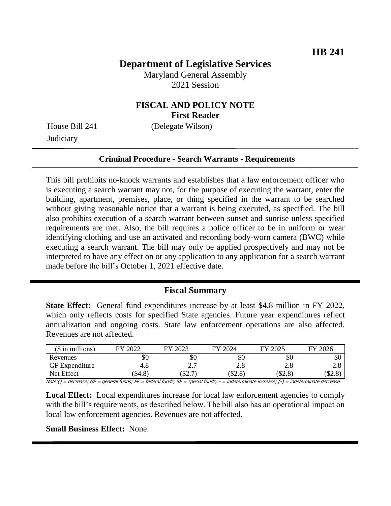# **Department of Legislative Services**

Maryland General Assembly 2021 Session

## **FISCAL AND POLICY NOTE First Reader**

**Judiciary** 

House Bill 241 (Delegate Wilson)

#### **Criminal Procedure - Search Warrants - Requirements**

This bill prohibits no-knock warrants and establishes that a law enforcement officer who is executing a search warrant may not, for the purpose of executing the warrant, enter the building, apartment, premises, place, or thing specified in the warrant to be searched without giving reasonable notice that a warrant is being executed, as specified. The bill also prohibits execution of a search warrant between sunset and sunrise unless specified requirements are met. Also, the bill requires a police officer to be in uniform or wear identifying clothing and use an activated and recording body-worn camera (BWC) while executing a search warrant. The bill may only be applied prospectively and may not be interpreted to have any effect on or any application to any application for a search warrant made before the bill's October 1, 2021 effective date.

#### **Fiscal Summary**

**State Effect:** General fund expenditures increase by at least \$4.8 million in FY 2022, which only reflects costs for specified State agencies. Future year expenditures reflect annualization and ongoing costs. State law enforcement operations are also affected. Revenues are not affected.

| $$$ in millions)                          | 2022<br>ГV.                               | 2023<br>FV.                                     | 2024<br>EV | 2025<br>EV | $\sqrt{2026}$<br>FV |
|-------------------------------------------|-------------------------------------------|-------------------------------------------------|------------|------------|---------------------|
| Revenues                                  | \$0                                       | \$0                                             | \$0        | \$0        | \$0                 |
| <b>GF</b> Expenditure                     | 4.8                                       | $\gamma$<br><u>L.</u>                           | 2.8        | 2.8        | 2.0                 |
| Net Effect                                | \$4.8                                     | S2.                                             | \$2.8      | \$2.8      | \$2.8               |
| 1.1.1.71<br>$\mathcal{A}$ . $\mathcal{A}$ | $\ldots$ . $\ldots$ . $\ldots$ . $\ldots$ | $c_{1}$ , $c_{2}$ , $c_{3}$ , $c_{4}$ , $c_{5}$ |            |            |                     |

Note:() = decrease; GF = general funds; FF = federal funds; SF = special funds; - = indeterminate increase; (-) = indeterminate decrease

**Local Effect:** Local expenditures increase for local law enforcement agencies to comply with the bill's requirements, as described below. The bill also has an operational impact on local law enforcement agencies. Revenues are not affected.

**Small Business Effect:** None.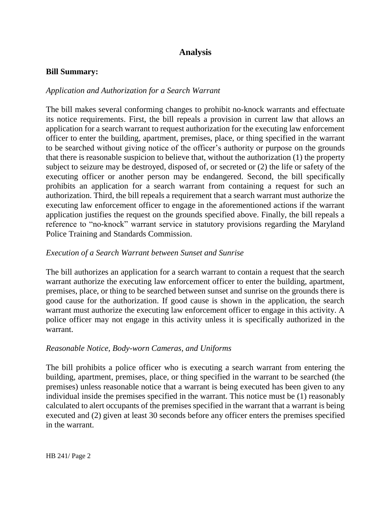# **Analysis**

#### **Bill Summary:**

### *Application and Authorization for a Search Warrant*

The bill makes several conforming changes to prohibit no-knock warrants and effectuate its notice requirements. First, the bill repeals a provision in current law that allows an application for a search warrant to request authorization for the executing law enforcement officer to enter the building, apartment, premises, place, or thing specified in the warrant to be searched without giving notice of the officer's authority or purpose on the grounds that there is reasonable suspicion to believe that, without the authorization (1) the property subject to seizure may be destroyed, disposed of, or secreted or (2) the life or safety of the executing officer or another person may be endangered. Second, the bill specifically prohibits an application for a search warrant from containing a request for such an authorization. Third, the bill repeals a requirement that a search warrant must authorize the executing law enforcement officer to engage in the aforementioned actions if the warrant application justifies the request on the grounds specified above. Finally, the bill repeals a reference to "no-knock" warrant service in statutory provisions regarding the Maryland Police Training and Standards Commission.

### *Execution of a Search Warrant between Sunset and Sunrise*

The bill authorizes an application for a search warrant to contain a request that the search warrant authorize the executing law enforcement officer to enter the building, apartment, premises, place, or thing to be searched between sunset and sunrise on the grounds there is good cause for the authorization. If good cause is shown in the application, the search warrant must authorize the executing law enforcement officer to engage in this activity. A police officer may not engage in this activity unless it is specifically authorized in the warrant.

#### *Reasonable Notice, Body-worn Cameras, and Uniforms*

The bill prohibits a police officer who is executing a search warrant from entering the building, apartment, premises, place, or thing specified in the warrant to be searched (the premises) unless reasonable notice that a warrant is being executed has been given to any individual inside the premises specified in the warrant. This notice must be (1) reasonably calculated to alert occupants of the premises specified in the warrant that a warrant is being executed and (2) given at least 30 seconds before any officer enters the premises specified in the warrant.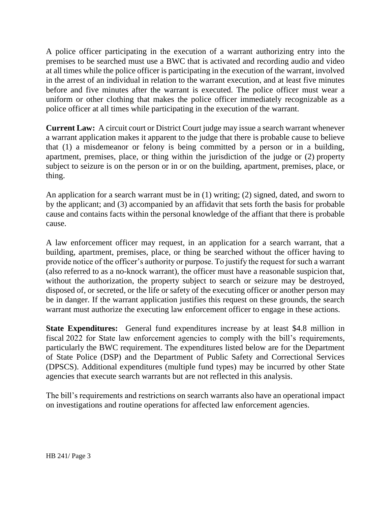A police officer participating in the execution of a warrant authorizing entry into the premises to be searched must use a BWC that is activated and recording audio and video at all times while the police officer is participating in the execution of the warrant, involved in the arrest of an individual in relation to the warrant execution, and at least five minutes before and five minutes after the warrant is executed. The police officer must wear a uniform or other clothing that makes the police officer immediately recognizable as a police officer at all times while participating in the execution of the warrant.

**Current Law:** A circuit court or District Court judge may issue a search warrant whenever a warrant application makes it apparent to the judge that there is probable cause to believe that (1) a misdemeanor or felony is being committed by a person or in a building, apartment, premises, place, or thing within the jurisdiction of the judge or (2) property subject to seizure is on the person or in or on the building, apartment, premises, place, or thing.

An application for a search warrant must be in (1) writing; (2) signed, dated, and sworn to by the applicant; and (3) accompanied by an affidavit that sets forth the basis for probable cause and contains facts within the personal knowledge of the affiant that there is probable cause.

A law enforcement officer may request, in an application for a search warrant, that a building, apartment, premises, place, or thing be searched without the officer having to provide notice of the officer's authority or purpose. To justify the request for such a warrant (also referred to as a no-knock warrant), the officer must have a reasonable suspicion that, without the authorization, the property subject to search or seizure may be destroyed, disposed of, or secreted, or the life or safety of the executing officer or another person may be in danger. If the warrant application justifies this request on these grounds, the search warrant must authorize the executing law enforcement officer to engage in these actions.

**State Expenditures:** General fund expenditures increase by at least \$4.8 million in fiscal 2022 for State law enforcement agencies to comply with the bill's requirements, particularly the BWC requirement. The expenditures listed below are for the Department of State Police (DSP) and the Department of Public Safety and Correctional Services (DPSCS). Additional expenditures (multiple fund types) may be incurred by other State agencies that execute search warrants but are not reflected in this analysis.

The bill's requirements and restrictions on search warrants also have an operational impact on investigations and routine operations for affected law enforcement agencies.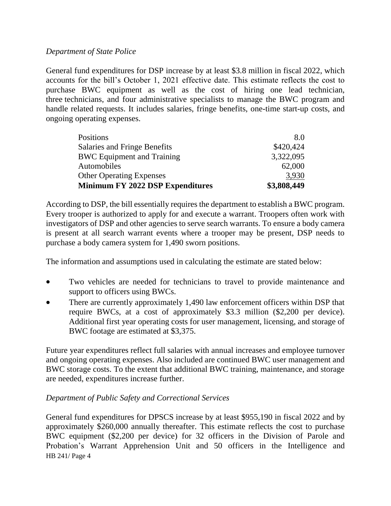## *Department of State Police*

General fund expenditures for DSP increase by at least \$3.8 million in fiscal 2022, which accounts for the bill's October 1, 2021 effective date. This estimate reflects the cost to purchase BWC equipment as well as the cost of hiring one lead technician, three technicians, and four administrative specialists to manage the BWC program and handle related requests. It includes salaries, fringe benefits, one-time start-up costs, and ongoing operating expenses.

| Positions                           | 8.0         |
|-------------------------------------|-------------|
| <b>Salaries and Fringe Benefits</b> | \$420,424   |
| <b>BWC</b> Equipment and Training   | 3,322,095   |
| Automobiles                         | 62,000      |
| <b>Other Operating Expenses</b>     | 3,930       |
| Minimum FY 2022 DSP Expenditures    | \$3,808,449 |

According to DSP, the bill essentially requires the department to establish a BWC program. Every trooper is authorized to apply for and execute a warrant. Troopers often work with investigators of DSP and other agencies to serve search warrants. To ensure a body camera is present at all search warrant events where a trooper may be present, DSP needs to purchase a body camera system for 1,490 sworn positions.

The information and assumptions used in calculating the estimate are stated below:

- Two vehicles are needed for technicians to travel to provide maintenance and support to officers using BWCs.
- There are currently approximately 1,490 law enforcement officers within DSP that require BWCs, at a cost of approximately \$3.3 million (\$2,200 per device). Additional first year operating costs for user management, licensing, and storage of BWC footage are estimated at \$3,375.

Future year expenditures reflect full salaries with annual increases and employee turnover and ongoing operating expenses. Also included are continued BWC user management and BWC storage costs. To the extent that additional BWC training, maintenance, and storage are needed, expenditures increase further.

## *Department of Public Safety and Correctional Services*

HB 241/ Page 4 General fund expenditures for DPSCS increase by at least \$955,190 in fiscal 2022 and by approximately \$260,000 annually thereafter. This estimate reflects the cost to purchase BWC equipment (\$2,200 per device) for 32 officers in the Division of Parole and Probation's Warrant Apprehension Unit and 50 officers in the Intelligence and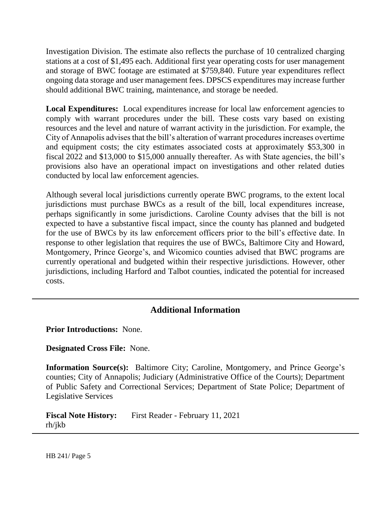Investigation Division. The estimate also reflects the purchase of 10 centralized charging stations at a cost of \$1,495 each. Additional first year operating costs for user management and storage of BWC footage are estimated at \$759,840. Future year expenditures reflect ongoing data storage and user management fees. DPSCS expenditures may increase further should additional BWC training, maintenance, and storage be needed.

Local Expenditures: Local expenditures increase for local law enforcement agencies to comply with warrant procedures under the bill. These costs vary based on existing resources and the level and nature of warrant activity in the jurisdiction. For example, the City of Annapolis advises that the bill's alteration of warrant procedures increases overtime and equipment costs; the city estimates associated costs at approximately \$53,300 in fiscal 2022 and \$13,000 to \$15,000 annually thereafter. As with State agencies, the bill's provisions also have an operational impact on investigations and other related duties conducted by local law enforcement agencies.

Although several local jurisdictions currently operate BWC programs, to the extent local jurisdictions must purchase BWCs as a result of the bill, local expenditures increase, perhaps significantly in some jurisdictions. Caroline County advises that the bill is not expected to have a substantive fiscal impact, since the county has planned and budgeted for the use of BWCs by its law enforcement officers prior to the bill's effective date. In response to other legislation that requires the use of BWCs, Baltimore City and Howard, Montgomery, Prince George's, and Wicomico counties advised that BWC programs are currently operational and budgeted within their respective jurisdictions. However, other jurisdictions, including Harford and Talbot counties, indicated the potential for increased costs.

## **Additional Information**

**Prior Introductions:** None.

**Designated Cross File:** None.

**Information Source(s):** Baltimore City; Caroline, Montgomery, and Prince George's counties; City of Annapolis; Judiciary (Administrative Office of the Courts); Department of Public Safety and Correctional Services; Department of State Police; Department of Legislative Services

**Fiscal Note History:** First Reader - February 11, 2021 rh/jkb